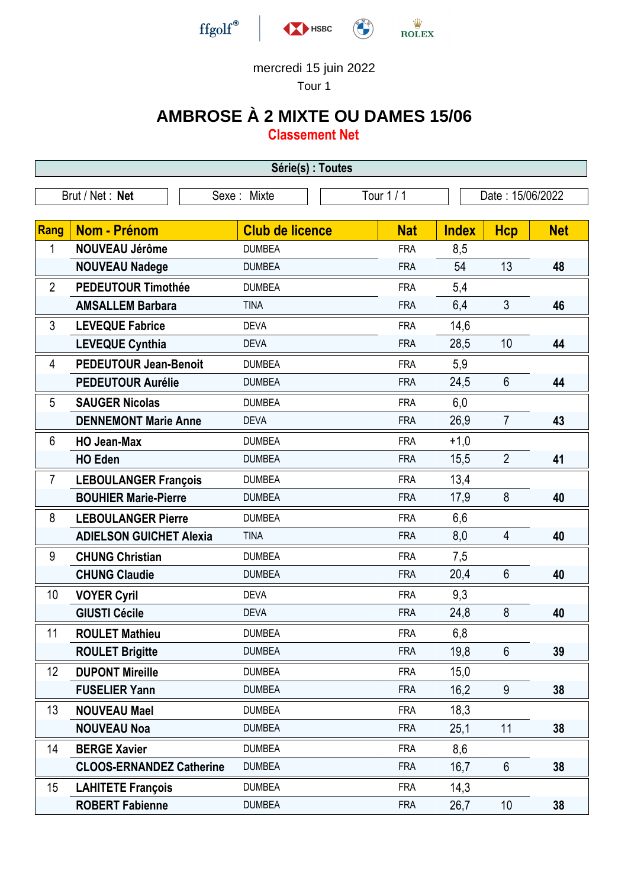

## mercredi 15 juin 2022

Tour 1

## **AMBROSE À 2 MIXTE OU DAMES 15/06**

**Classement Net**

| Série(s) : Toutes |                                 |                         |            |                  |                |            |  |  |  |
|-------------------|---------------------------------|-------------------------|------------|------------------|----------------|------------|--|--|--|
|                   | Brut / Net: Net                 | Tour 1/1<br>Sexe: Mixte |            | Date: 15/06/2022 |                |            |  |  |  |
|                   |                                 |                         |            |                  |                |            |  |  |  |
| Rang              | <b>Nom - Prénom</b>             | <b>Club de licence</b>  | <b>Nat</b> | <b>Index</b>     | <b>Hcp</b>     | <b>Net</b> |  |  |  |
| 1                 | <b>NOUVEAU Jérôme</b>           | <b>DUMBEA</b>           | <b>FRA</b> | 8,5              |                |            |  |  |  |
|                   | <b>NOUVEAU Nadege</b>           | <b>DUMBEA</b>           | <b>FRA</b> | 54               | 13             | 48         |  |  |  |
| $\overline{2}$    | <b>PEDEUTOUR Timothée</b>       | <b>DUMBEA</b>           | <b>FRA</b> | 5,4              |                |            |  |  |  |
|                   | <b>AMSALLEM Barbara</b>         | <b>TINA</b>             | <b>FRA</b> | 6,4              | 3              | 46         |  |  |  |
| 3                 | <b>LEVEQUE Fabrice</b>          | <b>DEVA</b>             | <b>FRA</b> | 14,6             |                |            |  |  |  |
|                   | <b>LEVEQUE Cynthia</b>          | <b>DEVA</b>             | <b>FRA</b> | 28,5             | 10             | 44         |  |  |  |
| $\overline{4}$    | <b>PEDEUTOUR Jean-Benoit</b>    | <b>DUMBEA</b>           | <b>FRA</b> | 5,9              |                |            |  |  |  |
|                   | <b>PEDEUTOUR Aurélie</b>        | <b>DUMBEA</b>           | <b>FRA</b> | 24,5             | $6\phantom{1}$ | 44         |  |  |  |
| 5                 | <b>SAUGER Nicolas</b>           | <b>DUMBEA</b>           | <b>FRA</b> | 6,0              |                |            |  |  |  |
|                   | <b>DENNEMONT Marie Anne</b>     | <b>DEVA</b>             | <b>FRA</b> | 26,9             | $\overline{7}$ | 43         |  |  |  |
| 6                 | <b>HO Jean-Max</b>              | <b>DUMBEA</b>           | <b>FRA</b> | $+1,0$           |                |            |  |  |  |
|                   | <b>HO Eden</b>                  | <b>DUMBEA</b>           | <b>FRA</b> | 15,5             | $\overline{2}$ | 41         |  |  |  |
| $\overline{7}$    | <b>LEBOULANGER François</b>     | <b>DUMBEA</b>           | <b>FRA</b> | 13,4             |                |            |  |  |  |
|                   | <b>BOUHIER Marie-Pierre</b>     | <b>DUMBEA</b>           | <b>FRA</b> | 17,9             | 8              | 40         |  |  |  |
| 8                 | <b>LEBOULANGER Pierre</b>       | <b>DUMBEA</b>           | <b>FRA</b> | 6,6              |                |            |  |  |  |
|                   | <b>ADIELSON GUICHET Alexia</b>  | <b>TINA</b>             | <b>FRA</b> | 8,0              | $\overline{4}$ | 40         |  |  |  |
| 9                 | <b>CHUNG Christian</b>          | <b>DUMBEA</b>           | <b>FRA</b> | 7,5              |                |            |  |  |  |
|                   | <b>CHUNG Claudie</b>            | <b>DUMBEA</b>           | <b>FRA</b> | 20,4             | $6\phantom{1}$ | 40         |  |  |  |
| 10                | <b>VOYER Cyril</b>              | <b>DEVA</b>             | <b>FRA</b> | 9,3              |                |            |  |  |  |
|                   | <b>GIUSTI Cécile</b>            | <b>DEVA</b>             | <b>FRA</b> | 24,8             | 8              | 40         |  |  |  |
| 11                | <b>ROULET Mathieu</b>           | <b>DUMBEA</b>           | <b>FRA</b> | 6,8              |                |            |  |  |  |
|                   | <b>ROULET Brigitte</b>          | <b>DUMBEA</b>           | <b>FRA</b> | 19,8             | $6\phantom{1}$ | 39         |  |  |  |
| 12                | <b>DUPONT Mireille</b>          | <b>DUMBEA</b>           | <b>FRA</b> | 15,0             |                |            |  |  |  |
|                   | <b>FUSELIER Yann</b>            | <b>DUMBEA</b>           | <b>FRA</b> | 16,2             | 9              | 38         |  |  |  |
| 13                | <b>NOUVEAU Mael</b>             | <b>DUMBEA</b>           | <b>FRA</b> | 18,3             |                |            |  |  |  |
|                   | <b>NOUVEAU Noa</b>              | <b>DUMBEA</b>           | <b>FRA</b> | 25,1             | 11             | 38         |  |  |  |
| 14                | <b>BERGE Xavier</b>             | <b>DUMBEA</b>           | <b>FRA</b> | 8,6              |                |            |  |  |  |
|                   | <b>CLOOS-ERNANDEZ Catherine</b> | <b>DUMBEA</b>           | <b>FRA</b> | 16,7             | 6              | 38         |  |  |  |
| 15                | <b>LAHITETE François</b>        | <b>DUMBEA</b>           | <b>FRA</b> | 14,3             |                |            |  |  |  |
|                   | <b>ROBERT Fabienne</b>          | <b>DUMBEA</b>           | <b>FRA</b> | 26,7             | 10             | 38         |  |  |  |